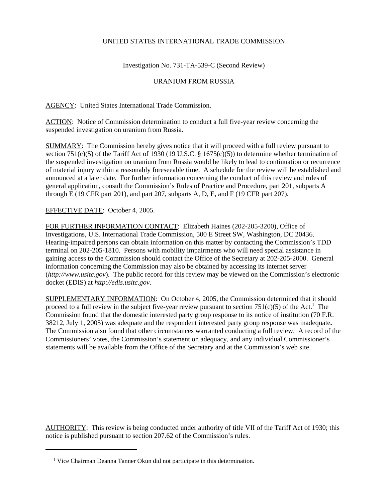## UNITED STATES INTERNATIONAL TRADE COMMISSION

Investigation No. 731-TA-539-C (Second Review)

## URANIUM FROM RUSSIA

AGENCY: United States International Trade Commission.

ACTION: Notice of Commission determination to conduct a full five-year review concerning the suspended investigation on uranium from Russia.

SUMMARY: The Commission hereby gives notice that it will proceed with a full review pursuant to section 751(c)(5) of the Tariff Act of 1930 (19 U.S.C. § 1675(c)(5)) to determine whether termination of the suspended investigation on uranium from Russia would be likely to lead to continuation or recurrence of material injury within a reasonably foreseeable time. A schedule for the review will be established and announced at a later date. For further information concerning the conduct of this review and rules of general application, consult the Commission's Rules of Practice and Procedure, part 201, subparts A through E (19 CFR part 201), and part 207, subparts A, D, E, and F (19 CFR part 207).

EFFECTIVE DATE: October 4, 2005.

FOR FURTHER INFORMATION CONTACT: Elizabeth Haines (202-205-3200), Office of Investigations, U.S. International Trade Commission, 500 E Street SW, Washington, DC 20436. Hearing-impaired persons can obtain information on this matter by contacting the Commission's TDD terminal on 202-205-1810. Persons with mobility impairments who will need special assistance in gaining access to the Commission should contact the Office of the Secretary at 202-205-2000. General information concerning the Commission may also be obtained by accessing its internet server (*http://www.usitc.gov*). The public record for this review may be viewed on the Commission's electronic docket (EDIS) at *http://edis.usitc.gov*.

SUPPLEMENTARY INFORMATION: On October 4, 2005, the Commission determined that it should proceed to a full review in the subject five-year review pursuant to section  $751(c)(5)$  of the Act.<sup>1</sup> The Commission found that the domestic interested party group response to its notice of institution (70 F.R. 38212, July 1, 2005) was adequate and the respondent interested party group response was inadequate**.**  The Commission also found that other circumstances warranted conducting a full review. A record of the Commissioners' votes, the Commission's statement on adequacy, and any individual Commissioner's statements will be available from the Office of the Secretary and at the Commission's web site.

AUTHORITY: This review is being conducted under authority of title VII of the Tariff Act of 1930; this notice is published pursuant to section 207.62 of the Commission's rules.

<sup>&</sup>lt;sup>1</sup> Vice Chairman Deanna Tanner Okun did not participate in this determination.